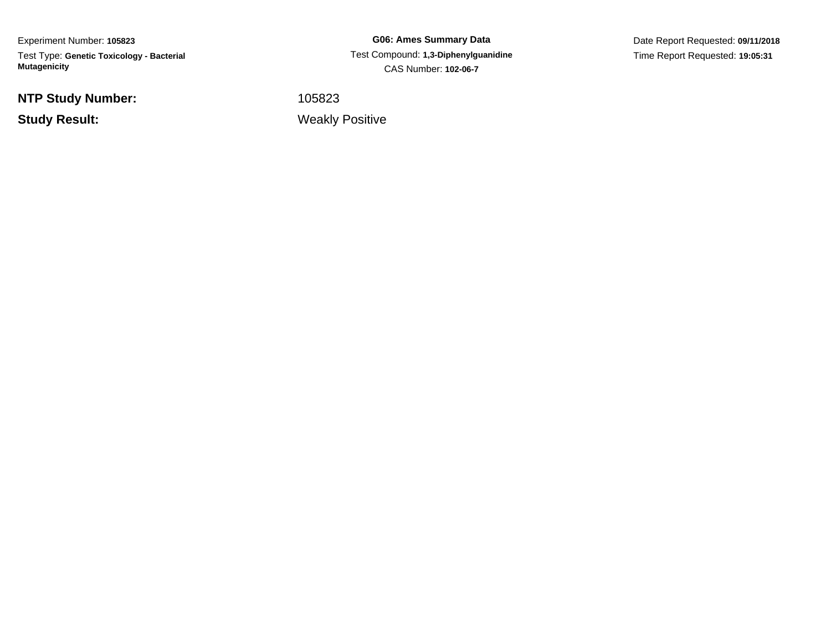Experiment Number: **105823**Test Type: **Genetic Toxicology - Bacterial Mutagenicity**

**NTP Study Number:**

**Study Result:**

**G06: Ames Summary Data** Test Compound: **1,3-Diphenylguanidine**CAS Number: **102-06-7**

Date Report Requested: **09/11/2018**Time Report Requested: **19:05:31**

<sup>105823</sup>

Weakly Positive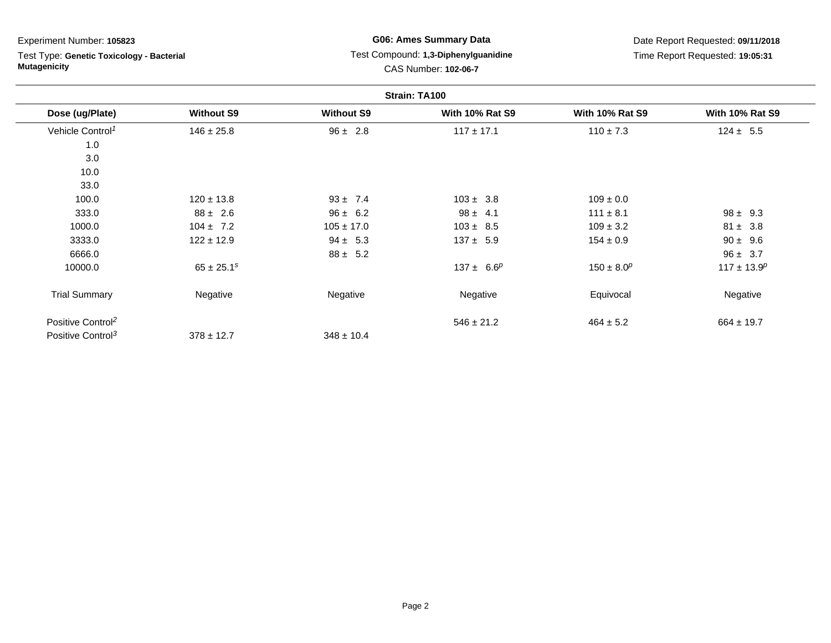Test Type: **Genetic Toxicology - Bacterial Mutagenicity**

## **G06: Ames Summary Data** Test Compound: **1,3-Diphenylguanidine**CAS Number: **102-06-7**

|                               |                   |                   | Strain: TA100          |                        |                        |
|-------------------------------|-------------------|-------------------|------------------------|------------------------|------------------------|
| Dose (ug/Plate)               | <b>Without S9</b> | <b>Without S9</b> | <b>With 10% Rat S9</b> | <b>With 10% Rat S9</b> | <b>With 10% Rat S9</b> |
| Vehicle Control <sup>1</sup>  | $146 \pm 25.8$    | $96 \pm 2.8$      | $117 \pm 17.1$         | $110 \pm 7.3$          | $124 \pm 5.5$          |
| 1.0                           |                   |                   |                        |                        |                        |
| 3.0                           |                   |                   |                        |                        |                        |
| 10.0                          |                   |                   |                        |                        |                        |
| 33.0                          |                   |                   |                        |                        |                        |
| 100.0                         | $120 \pm 13.8$    | $93 \pm 7.4$      | $103 \pm 3.8$          | $109 \pm 0.0$          |                        |
| 333.0                         | $88 \pm 2.6$      | $96 \pm 6.2$      | $98 \pm 4.1$           | $111 \pm 8.1$          | $98 \pm 9.3$           |
| 1000.0                        | $104 \pm 7.2$     | $105 \pm 17.0$    | $103 \pm 8.5$          | $109 \pm 3.2$          | $81 \pm 3.8$           |
| 3333.0                        | $122 \pm 12.9$    | $94 \pm 5.3$      | $137 \pm 5.9$          | $154 \pm 0.9$          | $90 \pm 9.6$           |
| 6666.0                        |                   | $88 \pm 5.2$      |                        |                        | $96 \pm 3.7$           |
| 10000.0                       | $65 \pm 25.1^s$   |                   | $137 \pm 6.6^p$        | $150 \pm 8.0^p$        | $117 \pm 13.9^p$       |
| <b>Trial Summary</b>          | Negative          | Negative          | Negative               | Equivocal              | Negative               |
| Positive Control <sup>2</sup> |                   |                   | $546 \pm 21.2$         | $464 \pm 5.2$          | $664 \pm 19.7$         |
| Positive Control <sup>3</sup> | $378 \pm 12.7$    | $348 \pm 10.4$    |                        |                        |                        |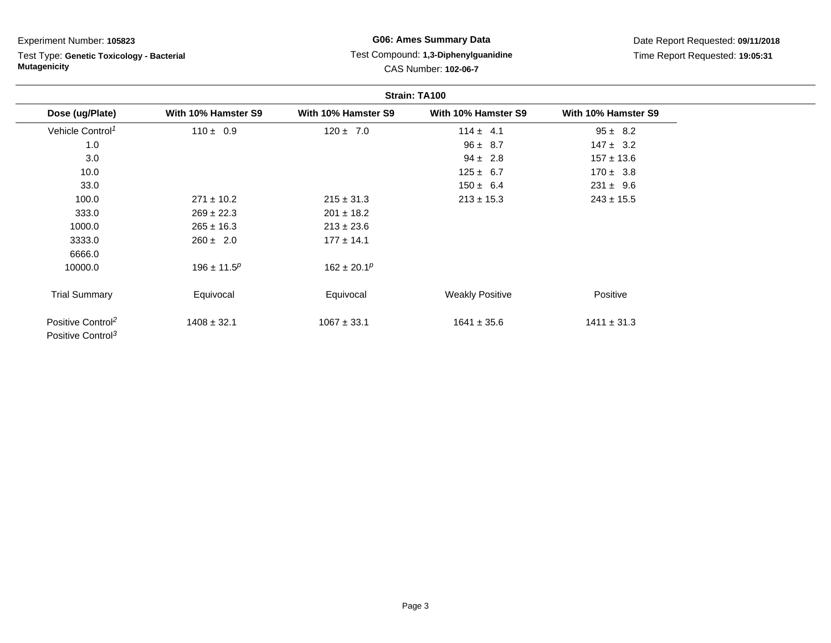# Test Type: **Genetic Toxicology - Bacterial Mutagenicity**

## **G06: Ames Summary Data** Test Compound: **1,3-Diphenylguanidine**CAS Number: **102-06-7**

|                                                                | Strain: TA100       |                     |                        |                     |  |  |
|----------------------------------------------------------------|---------------------|---------------------|------------------------|---------------------|--|--|
| Dose (ug/Plate)                                                | With 10% Hamster S9 | With 10% Hamster S9 | With 10% Hamster S9    | With 10% Hamster S9 |  |  |
| Vehicle Control <sup>1</sup>                                   | $110 \pm 0.9$       | $120 \pm 7.0$       | $114 \pm 4.1$          | $95 \pm 8.2$        |  |  |
| 1.0                                                            |                     |                     | $96 \pm 8.7$           | $147 \pm 3.2$       |  |  |
| 3.0                                                            |                     |                     | $94 \pm 2.8$           | $157 \pm 13.6$      |  |  |
| 10.0                                                           |                     |                     | $125 \pm 6.7$          | $170 \pm 3.8$       |  |  |
| 33.0                                                           |                     |                     | $150 \pm 6.4$          | $231 \pm 9.6$       |  |  |
| 100.0                                                          | $271 \pm 10.2$      | $215 \pm 31.3$      | $213 \pm 15.3$         | $243 \pm 15.5$      |  |  |
| 333.0                                                          | $269 \pm 22.3$      | $201 \pm 18.2$      |                        |                     |  |  |
| 1000.0                                                         | $265 \pm 16.3$      | $213 \pm 23.6$      |                        |                     |  |  |
| 3333.0                                                         | $260 \pm 2.0$       | $177 \pm 14.1$      |                        |                     |  |  |
| 6666.0                                                         |                     |                     |                        |                     |  |  |
| 10000.0                                                        | $196 \pm 11.5^p$    | $162 \pm 20.1^p$    |                        |                     |  |  |
| <b>Trial Summary</b>                                           | Equivocal           | Equivocal           | <b>Weakly Positive</b> | Positive            |  |  |
| Positive Control <sup>2</sup><br>Positive Control <sup>3</sup> | $1408 \pm 32.1$     | $1067 \pm 33.1$     | $1641 \pm 35.6$        | $1411 \pm 31.3$     |  |  |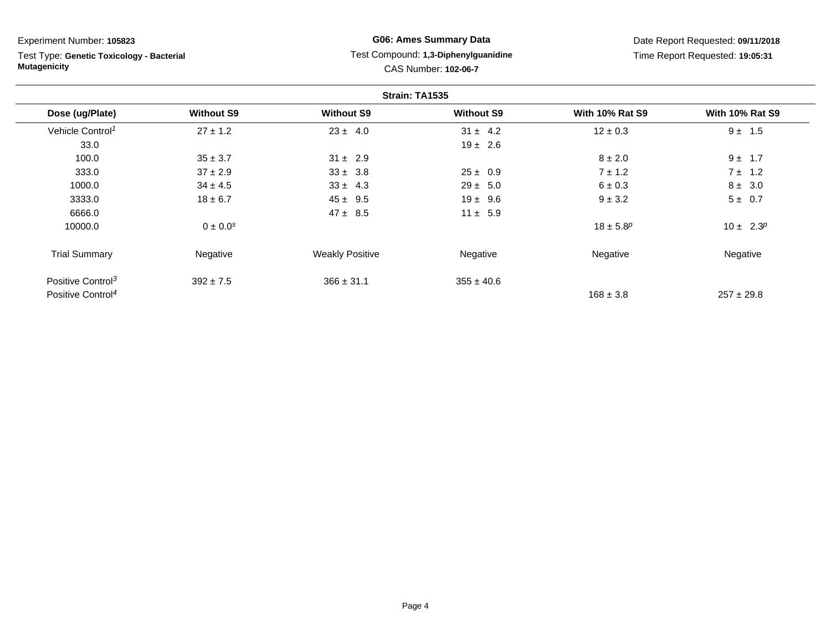Test Type: **Genetic Toxicology - Bacterial Mutagenicity**

## **G06: Ames Summary Data** Test Compound: **1,3-Diphenylguanidine**CAS Number: **102-06-7**

|                               |                   |                        | Strain: TA1535    |                        |                        |
|-------------------------------|-------------------|------------------------|-------------------|------------------------|------------------------|
| Dose (ug/Plate)               | <b>Without S9</b> | <b>Without S9</b>      | <b>Without S9</b> | <b>With 10% Rat S9</b> | <b>With 10% Rat S9</b> |
| Vehicle Control <sup>1</sup>  | $27 \pm 1.2$      | $23 \pm 4.0$           | $31 \pm 4.2$      | $12 \pm 0.3$           | $9 \pm 1.5$            |
| 33.0                          |                   |                        | $19 \pm 2.6$      |                        |                        |
| 100.0                         | $35 \pm 3.7$      | $31 \pm 2.9$           |                   | $8 \pm 2.0$            | $9 \pm 1.7$            |
| 333.0                         | $37 \pm 2.9$      | $33 \pm 3.8$           | $25 \pm 0.9$      | $7 \pm 1.2$            | $7 \pm 1.2$            |
| 1000.0                        | $34 \pm 4.5$      | $33 \pm 4.3$           | $29 \pm 5.0$      | $6 \pm 0.3$            | $8 \pm 3.0$            |
| 3333.0                        | $18 \pm 6.7$      | $45 \pm 9.5$           | $19 \pm 9.6$      | $9 \pm 3.2$            | $5 \pm 0.7$            |
| 6666.0                        |                   | $47 \pm 8.5$           | $11 \pm 5.9$      |                        |                        |
| 10000.0                       | $0 \pm 0.0^{s}$   |                        |                   | $18 \pm 5.8^p$         | $10 \pm 2.3^p$         |
| <b>Trial Summary</b>          | Negative          | <b>Weakly Positive</b> | Negative          | Negative               | Negative               |
| Positive Control <sup>3</sup> | $392 \pm 7.5$     | $366 \pm 31.1$         | $355 \pm 40.6$    |                        |                        |
| Positive Control <sup>4</sup> |                   |                        |                   | $168 \pm 3.8$          | $257 \pm 29.8$         |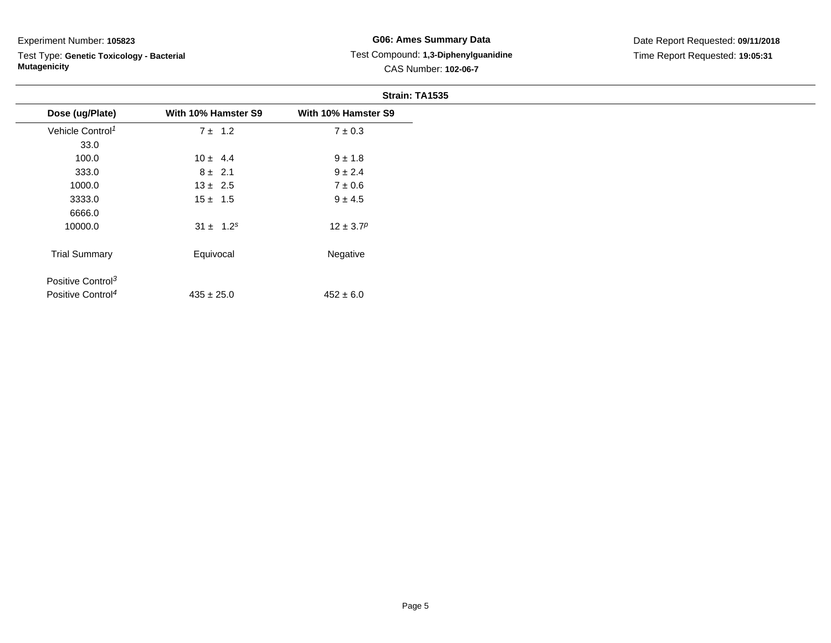Test Type: **Genetic Toxicology - Bacterial Mutagenicity**

## **G06: Ames Summary Data** Test Compound: **1,3-Diphenylguanidine**CAS Number: **102-06-7**

|                               |                     | Strain: TA1535      |
|-------------------------------|---------------------|---------------------|
| Dose (ug/Plate)               | With 10% Hamster S9 | With 10% Hamster S9 |
| Vehicle Control <sup>1</sup>  | $7 \pm 1.2$         | $7 \pm 0.3$         |
| 33.0                          |                     |                     |
| 100.0                         | $10 \pm 4.4$        | $9 \pm 1.8$         |
| 333.0                         | $8 \pm 2.1$         | $9 \pm 2.4$         |
| 1000.0                        | $13 \pm 2.5$        | $7\pm0.6$           |
| 3333.0                        | $15 \pm 1.5$        | $9 \pm 4.5$         |
| 6666.0                        |                     |                     |
| 10000.0                       | $31 \pm 1.2^s$      | $12 \pm 3.7^p$      |
| <b>Trial Summary</b>          | Equivocal           | Negative            |
| Positive Control <sup>3</sup> |                     |                     |
| Positive Control <sup>4</sup> | $435 \pm 25.0$      | $452 \pm 6.0$       |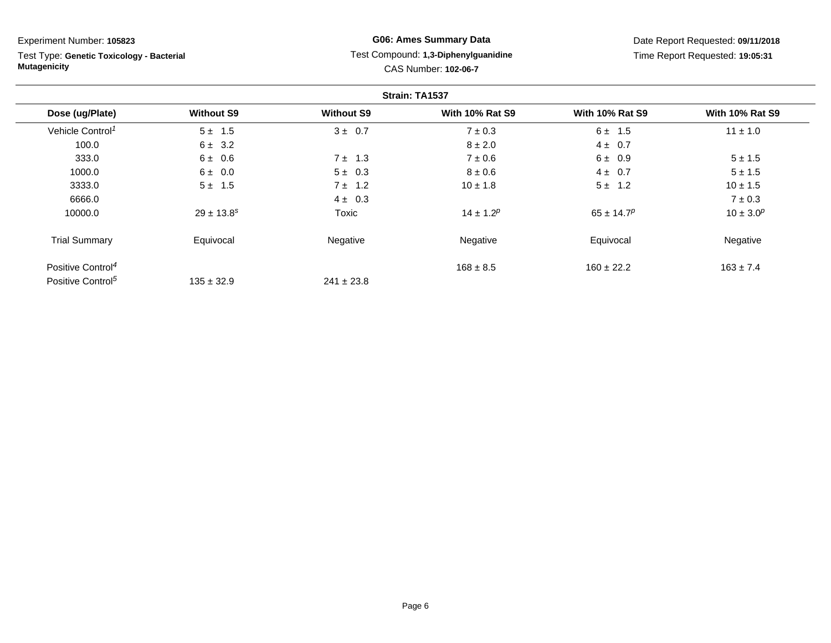Test Type: **Genetic Toxicology - Bacterial Mutagenicity**

## **G06: Ames Summary Data** Test Compound: **1,3-Diphenylguanidine**CAS Number: **102-06-7**

|                               |                   |                   | Strain: TA1537         |                            |                        |
|-------------------------------|-------------------|-------------------|------------------------|----------------------------|------------------------|
| Dose (ug/Plate)               | <b>Without S9</b> | <b>Without S9</b> | <b>With 10% Rat S9</b> | <b>With 10% Rat S9</b>     | <b>With 10% Rat S9</b> |
| Vehicle Control <sup>1</sup>  | $5 \pm 1.5$       | $3 \pm 0.7$       | $7 \pm 0.3$            | $6 \pm 1.5$                | $11 \pm 1.0$           |
| 100.0                         | $6 \pm 3.2$       |                   | $8 \pm 2.0$            | $4 \pm 0.7$                |                        |
| 333.0                         | 6 ± 0.6           | $7 \pm 1.3$       | $7 \pm 0.6$            | 6 ± 0.9                    | $5 \pm 1.5$            |
| 1000.0                        | $6 \pm 0.0$       | $5 \pm 0.3$       | $8 \pm 0.6$            | $4 \pm 0.7$                | $5 \pm 1.5$            |
| 3333.0                        | $5 \pm 1.5$       | $7 \pm 1.2$       | $10 \pm 1.8$           | $5 \pm 1.2$                | $10 \pm 1.5$           |
| 6666.0                        |                   | $4 \pm 0.3$       |                        |                            | $7 \pm 0.3$            |
| 10000.0                       | $29 \pm 13.8^s$   | Toxic             | $14 \pm 1.2^p$         | $65 \pm 14.7$ <sup>p</sup> | $10 \pm 3.0^p$         |
| <b>Trial Summary</b>          | Equivocal         | Negative          | Negative               | Equivocal                  | Negative               |
| Positive Control <sup>4</sup> |                   |                   | $168 \pm 8.5$          | $160 \pm 22.2$             | $163 \pm 7.4$          |
| Positive Control <sup>5</sup> | $135 \pm 32.9$    | $241 \pm 23.8$    |                        |                            |                        |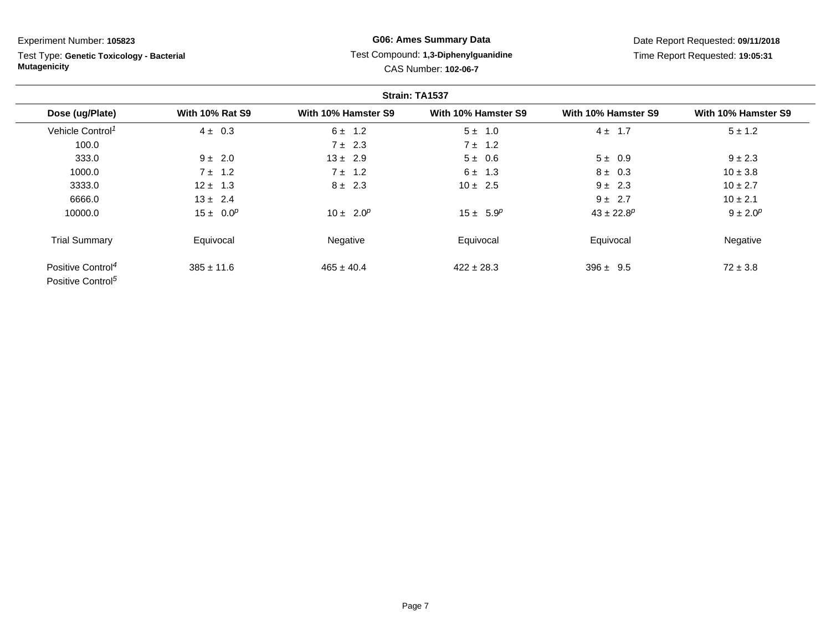Test Type: **Genetic Toxicology - Bacterial Mutagenicity**

## **G06: Ames Summary Data** Test Compound: **1,3-Diphenylguanidine**CAS Number: **102-06-7**

|                                                                |                        |                     | Strain: TA1537      |                            |                     |
|----------------------------------------------------------------|------------------------|---------------------|---------------------|----------------------------|---------------------|
| Dose (ug/Plate)                                                | <b>With 10% Rat S9</b> | With 10% Hamster S9 | With 10% Hamster S9 | With 10% Hamster S9        | With 10% Hamster S9 |
| Vehicle Control <sup>1</sup>                                   | $4 \pm 0.3$            | $6 \pm 1.2$         | $5 \pm 1.0$         | $4 \pm 1.7$                | $5 \pm 1.2$         |
| 100.0                                                          |                        | $7 \pm 2.3$         | $7 \pm 1.2$         |                            |                     |
| 333.0                                                          | $9 \pm 2.0$            | $13 \pm 2.9$        | $5 \pm 0.6$         | $5 \pm 0.9$                | $9 \pm 2.3$         |
| 1000.0                                                         | $7 \pm 1.2$            | $7 \pm 1.2$         | $6 \pm 1.3$         | $8 \pm 0.3$                | $10 \pm 3.8$        |
| 3333.0                                                         | $12 \pm 1.3$           | $8 \pm 2.3$         | $10 \pm 2.5$        | $9 \pm 2.3$                | $10 \pm 2.7$        |
| 6666.0                                                         | $13 \pm 2.4$           |                     |                     | $9 \pm 2.7$                | $10 \pm 2.1$        |
| 10000.0                                                        | $15 \pm 0.0^p$         | $10 \pm 2.0^p$      | $15 \pm 5.9^p$      | $43 \pm 22.8$ <sup>p</sup> | $9 \pm 2.0^p$       |
| <b>Trial Summary</b>                                           | Equivocal              | Negative            | Equivocal           | Equivocal                  | Negative            |
| Positive Control <sup>4</sup><br>Positive Control <sup>5</sup> | $385 \pm 11.6$         | $465 \pm 40.4$      | $422 \pm 28.3$      | $396 \pm 9.5$              | $72 \pm 3.8$        |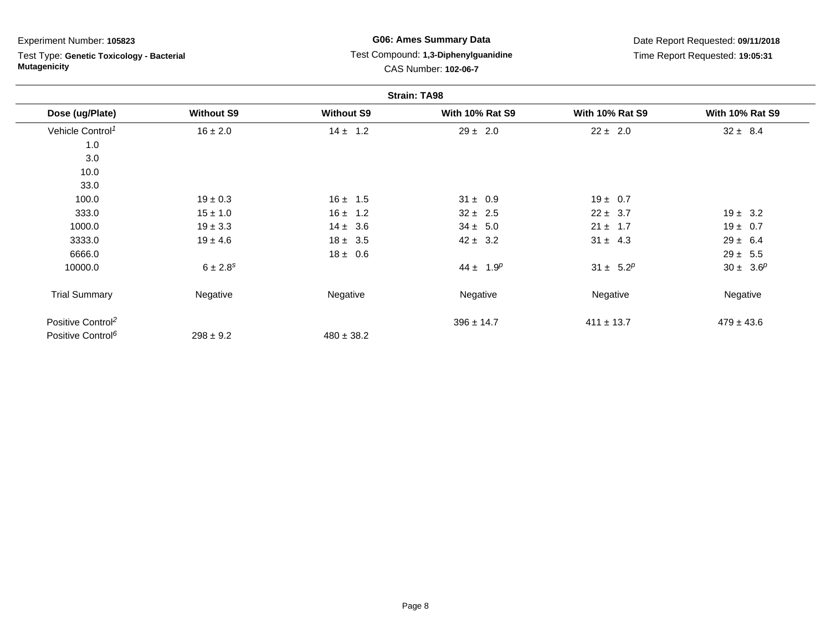Test Type: **Genetic Toxicology - Bacterial Mutagenicity**

## **G06: Ames Summary Data** Test Compound: **1,3-Diphenylguanidine**CAS Number: **102-06-7**

|                               |                   |                   | <b>Strain: TA98</b>    |                        |                        |
|-------------------------------|-------------------|-------------------|------------------------|------------------------|------------------------|
| Dose (ug/Plate)               | <b>Without S9</b> | <b>Without S9</b> | <b>With 10% Rat S9</b> | <b>With 10% Rat S9</b> | <b>With 10% Rat S9</b> |
| Vehicle Control <sup>1</sup>  | $16 \pm 2.0$      | $14 \pm 1.2$      | $29 \pm 2.0$           | $22 \pm 2.0$           | $32 \pm 8.4$           |
| 1.0                           |                   |                   |                        |                        |                        |
| 3.0                           |                   |                   |                        |                        |                        |
| 10.0                          |                   |                   |                        |                        |                        |
| 33.0                          |                   |                   |                        |                        |                        |
| 100.0                         | $19 \pm 0.3$      | $16 \pm 1.5$      | $31 \pm 0.9$           | $19 \pm 0.7$           |                        |
| 333.0                         | $15 \pm 1.0$      | $16 \pm 1.2$      | $32 \pm 2.5$           | $22 \pm 3.7$           | $19 \pm 3.2$           |
| 1000.0                        | $19 \pm 3.3$      | $14 \pm 3.6$      | $34 \pm 5.0$           | $21 \pm 1.7$           | $19 \pm 0.7$           |
| 3333.0                        | $19 \pm 4.6$      | $18 \pm 3.5$      | $42 \pm 3.2$           | $31 \pm 4.3$           | $29 \pm 6.4$           |
| 6666.0                        |                   | $18 \pm 0.6$      |                        |                        | $29 \pm 5.5$           |
| 10000.0                       | $6 \pm 2.8^s$     |                   | $44 \pm 1.9^p$         | $31 \pm 5.2^p$         | $30 \pm 3.6^p$         |
| <b>Trial Summary</b>          | Negative          | Negative          | Negative               | Negative               | Negative               |
| Positive Control <sup>2</sup> |                   |                   | $396 \pm 14.7$         | $411 \pm 13.7$         | $479 \pm 43.6$         |
| Positive Control <sup>6</sup> | $298 \pm 9.2$     | $480 \pm 38.2$    |                        |                        |                        |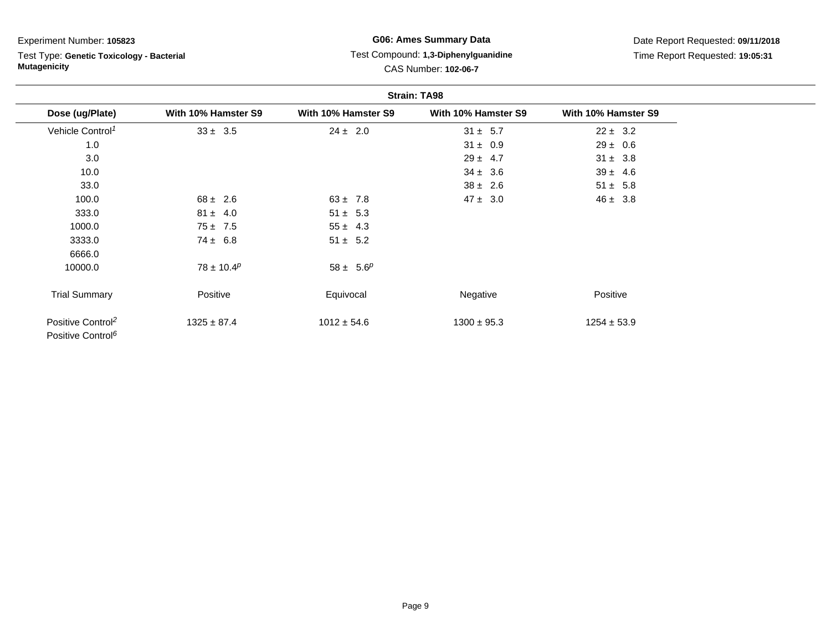## Test Type: **Genetic Toxicology - Bacterial Mutagenicity**

## **G06: Ames Summary Data** Test Compound: **1,3-Diphenylguanidine**CAS Number: **102-06-7**

| <b>Strain: TA98</b>                                            |                     |                     |                     |                     |  |
|----------------------------------------------------------------|---------------------|---------------------|---------------------|---------------------|--|
| Dose (ug/Plate)                                                | With 10% Hamster S9 | With 10% Hamster S9 | With 10% Hamster S9 | With 10% Hamster S9 |  |
| Vehicle Control <sup>1</sup>                                   | $33 \pm 3.5$        | $24 \pm 2.0$        | $31 \pm 5.7$        | $22 \pm 3.2$        |  |
| 1.0                                                            |                     |                     | $31 \pm 0.9$        | $29 \pm 0.6$        |  |
| 3.0                                                            |                     |                     | $29 \pm 4.7$        | $31 \pm 3.8$        |  |
| 10.0                                                           |                     |                     | $34 \pm 3.6$        | $39 \pm 4.6$        |  |
| 33.0                                                           |                     |                     | $38 \pm 2.6$        | $51 \pm 5.8$        |  |
| 100.0                                                          | $68 \pm 2.6$        | $63 \pm 7.8$        | $47 \pm 3.0$        | $46 \pm 3.8$        |  |
| 333.0                                                          | $81 \pm 4.0$        | $51 \pm 5.3$        |                     |                     |  |
| 1000.0                                                         | $75 \pm 7.5$        | $55 \pm 4.3$        |                     |                     |  |
| 3333.0                                                         | $74 \pm 6.8$        | $51 \pm 5.2$        |                     |                     |  |
| 6666.0                                                         |                     |                     |                     |                     |  |
| 10000.0                                                        | $78 \pm 10.4^p$     | $58 \pm 5.6^p$      |                     |                     |  |
| <b>Trial Summary</b>                                           | Positive            | Equivocal           | Negative            | Positive            |  |
| Positive Control <sup>2</sup><br>Positive Control <sup>6</sup> | $1325 \pm 87.4$     | $1012 \pm 54.6$     | $1300 \pm 95.3$     | $1254 \pm 53.9$     |  |